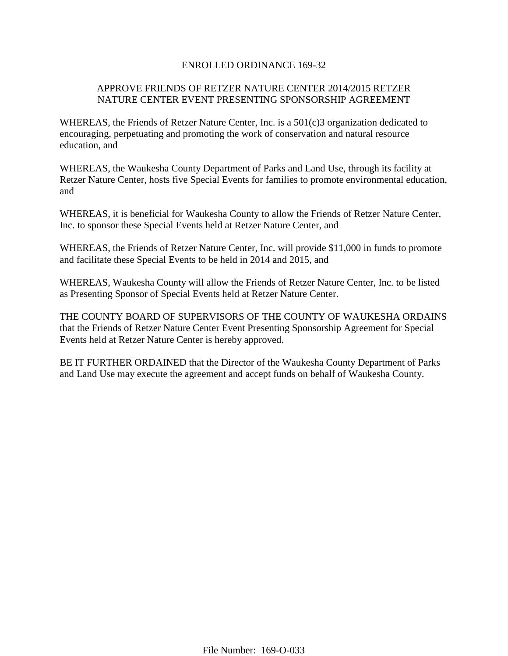### ENROLLED ORDINANCE 169-32

# APPROVE FRIENDS OF RETZER NATURE CENTER 2014/2015 RETZER NATURE CENTER EVENT PRESENTING SPONSORSHIP AGREEMENT

WHEREAS, the Friends of Retzer Nature Center, Inc. is a 501(c)3 organization dedicated to encouraging, perpetuating and promoting the work of conservation and natural resource education, and

WHEREAS, the Waukesha County Department of Parks and Land Use, through its facility at Retzer Nature Center, hosts five Special Events for families to promote environmental education, and

WHEREAS, it is beneficial for Waukesha County to allow the Friends of Retzer Nature Center, Inc. to sponsor these Special Events held at Retzer Nature Center, and

WHEREAS, the Friends of Retzer Nature Center, Inc. will provide \$11,000 in funds to promote and facilitate these Special Events to be held in 2014 and 2015, and

WHEREAS, Waukesha County will allow the Friends of Retzer Nature Center, Inc. to be listed as Presenting Sponsor of Special Events held at Retzer Nature Center.

THE COUNTY BOARD OF SUPERVISORS OF THE COUNTY OF WAUKESHA ORDAINS that the Friends of Retzer Nature Center Event Presenting Sponsorship Agreement for Special Events held at Retzer Nature Center is hereby approved.

BE IT FURTHER ORDAINED that the Director of the Waukesha County Department of Parks and Land Use may execute the agreement and accept funds on behalf of Waukesha County.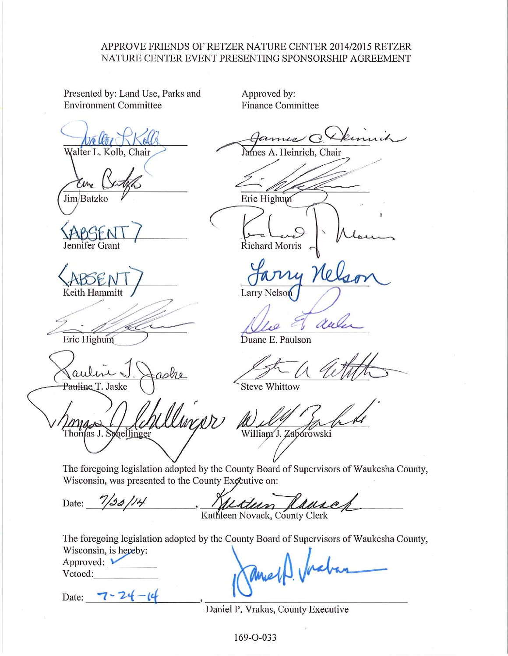## APPROVE FRIENDS OF RETZER NATURE CENTER 2014/2015 RETZER NATURE CENTER EVENT PRESENTING SPONSORSHIP AGREEMENT

Presented by: Land Use, Parks and **Environment Committee** 

Approved by: **Finance Committee** 

ames  $C$ 

Walter L. Kolb, Chair

Jim Batzko

Jennifer Grant

Keith Hammitt

Eric Highum

Pauline T. Jaske

Thomas J. Schellinger

Eric Highum

Heinrich, Chair

Demuch

**Richard Morris** 

ry Nol Larry Nelson

aul

Duane E. Paulson

**Steve Whittow** 

William J. Zabórowski

The foregoing legislation adopted by the County Board of Supervisors of Waukesha County, Wisconsin, was presented to the County Exceutive on:

Date:  $7/32/14$ ttum Kathleen Novack, County Clerk

The foregoing legislation adopted by the County Board of Supervisors of Waukesha County, Wisconsin, is hereby:

Approved:  $\blacktriangleright$ Vetoed:

Date: 7-24

annel

Daniel P. Vrakas, County Executive

169-O-033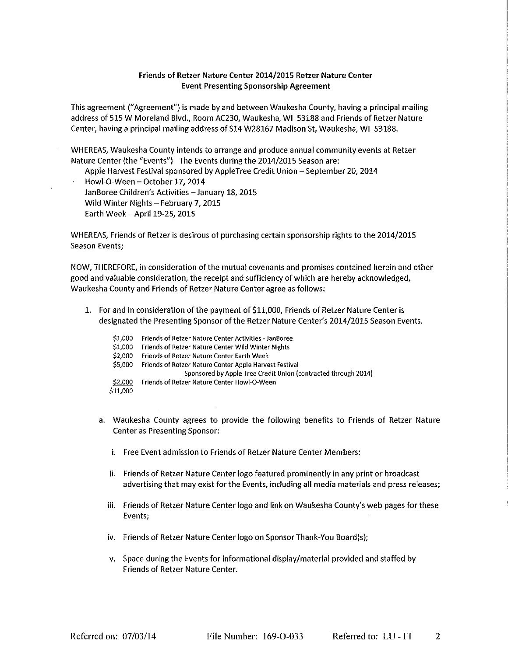### Friends of Retzer Nature Center 2014/2015 Retzer Nature Center **Event Presenting Sponsorship Agreement**

This agreement ("Agreement") is made by and between Waukesha County, having a principal mailing address of 515 W Moreland Blvd., Room AC230, Waukesha, WI 53188 and Friends of Retzer Nature Center, having a principal mailing address of S14 W28167 Madison St, Waukesha, WI 53188.

WHEREAS, Waukesha County intends to arrange and produce annual community events at Retzer Nature Center (the "Events"). The Events during the 2014/2015 Season are:

Apple Harvest Festival sponsored by AppleTree Credit Union - September 20, 2014

Howl-O-Ween - October 17, 2014 JanBoree Children's Activities - January 18, 2015 Wild Winter Nights - February 7, 2015 Earth Week - April 19-25, 2015

WHEREAS, Friends of Retzer is desirous of purchasing certain sponsorship rights to the 2014/2015 **Season Events;** 

NOW, THEREFORE, in consideration of the mutual covenants and promises contained herein and other good and valuable consideration, the receipt and sufficiency of which are hereby acknowledged, Waukesha County and Friends of Retzer Nature Center agree as follows:

- 1. For and in consideration of the payment of \$11,000, Friends of Retzer Nature Center is designated the Presenting Sponsor of the Retzer Nature Center's 2014/2015 Season Events.
	- \$1,000 Friends of Retzer Nature Center Activities - JanBoree \$1,000 Friends of Retzer Nature Center Wild Winter Nights \$2,000 Friends of Retzer Nature Center Earth Week \$5,000 Friends of Retzer Nature Center Apple Harvest Festival Sponsored by Apple Tree Credit Union (contracted through 2014) \$2,000 Friends of Retzer Nature Center Howl-O-Ween \$11,000
	- a. Waukesha County agrees to provide the following benefits to Friends of Retzer Nature **Center as Presenting Sponsor:** 
		- i. Free Event admission to Friends of Retzer Nature Center Members:
		- ii. Friends of Retzer Nature Center logo featured prominently in any print or broadcast advertising that may exist for the Events, including all media materials and press releases;
		- iii. Friends of Retzer Nature Center logo and link on Waukesha County's web pages for these Events:
		- iv. Friends of Retzer Nature Center logo on Sponsor Thank-You Board(s);
		- v. Space during the Events for informational display/material provided and staffed by Friends of Retzer Nature Center.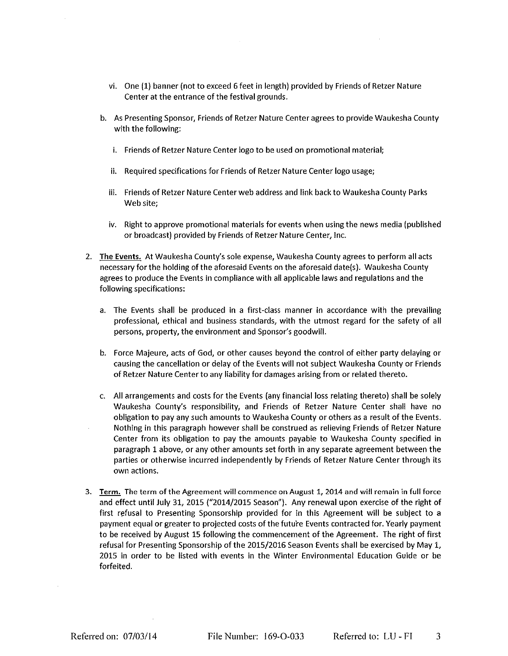- vi. One (1) banner (not to exceed 6 feet in length) provided by Friends of Retzer Nature Center at the entrance of the festival grounds.
- b. As Presenting Sponsor, Friends of Retzer Nature Center agrees to provide Waukesha County with the following:
	- i. Friends of Retzer Nature Center logo to be used on promotional material;
	- ii. Required specifications for Friends of Retzer Nature Center logo usage;
	- iii. Friends of Retzer Nature Center web address and link back to Waukesha County Parks Web site:
	- iv. Right to approve promotional materials for events when using the news media (published or broadcast) provided by Friends of Retzer Nature Center, Inc.
- 2. The Events. At Waukesha County's sole expense, Waukesha County agrees to perform all acts necessary for the holding of the aforesaid Events on the aforesaid date(s). Waukesha County agrees to produce the Events in compliance with all applicable laws and regulations and the following specifications:
	- a. The Events shall be produced in a first-class manner in accordance with the prevailing professional, ethical and business standards, with the utmost regard for the safety of all persons, property, the environment and Sponsor's goodwill.
	- b. Force Majeure, acts of God, or other causes beyond the control of either party delaying or causing the cancellation or delay of the Events will not subject Waukesha County or Friends of Retzer Nature Center to any liability for damages arising from or related thereto.
	- c. All arrangements and costs for the Events (any financial loss relating thereto) shall be solely Waukesha County's responsibility, and Friends of Retzer Nature Center shall have no obligation to pay any such amounts to Waukesha County or others as a result of the Events. Nothing in this paragraph however shall be construed as relieving Friends of Retzer Nature Center from its obligation to pay the amounts payable to Waukesha County specified in paragraph 1 above, or any other amounts set forth in any separate agreement between the parties or otherwise incurred independently by Friends of Retzer Nature Center through its own actions.
- 3. Term. The term of the Agreement will commence on August 1, 2014 and will remain in full force and effect until July 31, 2015 ("2014/2015 Season"). Any renewal upon exercise of the right of first refusal to Presenting Sponsorship provided for in this Agreement will be subject to a payment equal or greater to projected costs of the future Events contracted for. Yearly payment to be received by August 15 following the commencement of the Agreement. The right of first refusal for Presenting Sponsorship of the 2015/2016 Season Events shall be exercised by May 1, 2015 in order to be listed with events in the Winter Environmental Education Guide or be forfeited.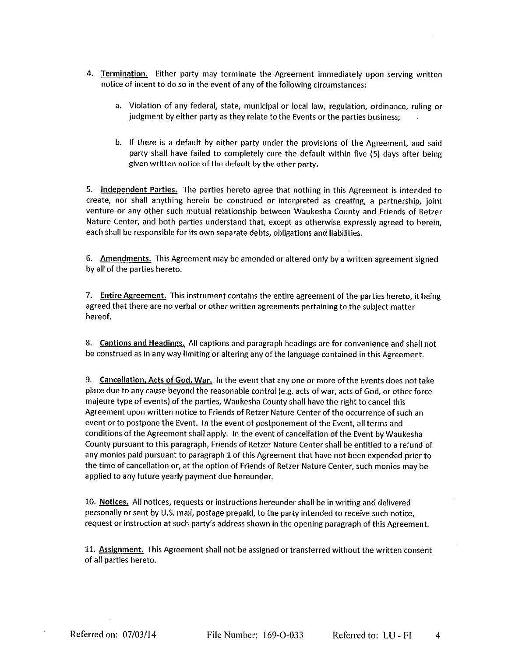- 4. Termination. Either party may terminate the Agreement immediately upon serving written notice of intent to do so in the event of any of the following circumstances:
	- a. Violation of any federal, state, municipal or local law, regulation, ordinance, ruling or judgment by either party as they relate to the Events or the parties business;
	- b. If there is a default by either party under the provisions of the Agreement, and said party shall have failed to completely cure the default within five (5) days after being given written notice of the default by the other party.

5. Independent Parties. The parties hereto agree that nothing in this Agreement is intended to create, nor shall anything herein be construed or interpreted as creating, a partnership, joint venture or any other such mutual relationship between Waukesha County and Friends of Retzer Nature Center, and both parties understand that, except as otherwise expressly agreed to herein, each shall be responsible for its own separate debts, obligations and liabilities.

6. Amendments. This Agreement may be amended or altered only by a written agreement signed by all of the parties hereto.

7. Entire Agreement. This instrument contains the entire agreement of the parties hereto, it being agreed that there are no verbal or other written agreements pertaining to the subject matter hereof.

8. Captions and Headings. All captions and paragraph headings are for convenience and shall not be construed as in any way limiting or altering any of the language contained in this Agreement.

9. Cancellation, Acts of God, War. In the event that any one or more of the Events does not take place due to any cause beyond the reasonable control (e.g. acts of war, acts of God, or other force majeure type of events) of the parties, Waukesha County shall have the right to cancel this Agreement upon written notice to Friends of Retzer Nature Center of the occurrence of such an event or to postpone the Event. In the event of postponement of the Event, all terms and conditions of the Agreement shall apply. In the event of cancellation of the Event by Waukesha County pursuant to this paragraph, Friends of Retzer Nature Center shall be entitled to a refund of any monies paid pursuant to paragraph 1 of this Agreement that have not been expended prior to the time of cancellation or, at the option of Friends of Retzer Nature Center, such monies may be applied to any future yearly payment due hereunder.

10. Notices. All notices, requests or instructions hereunder shall be in writing and delivered personally or sent by U.S. mail, postage prepaid, to the party intended to receive such notice, request or instruction at such party's address shown in the opening paragraph of this Agreement.

11. Assignment. This Agreement shall not be assigned or transferred without the written consent of all parties hereto.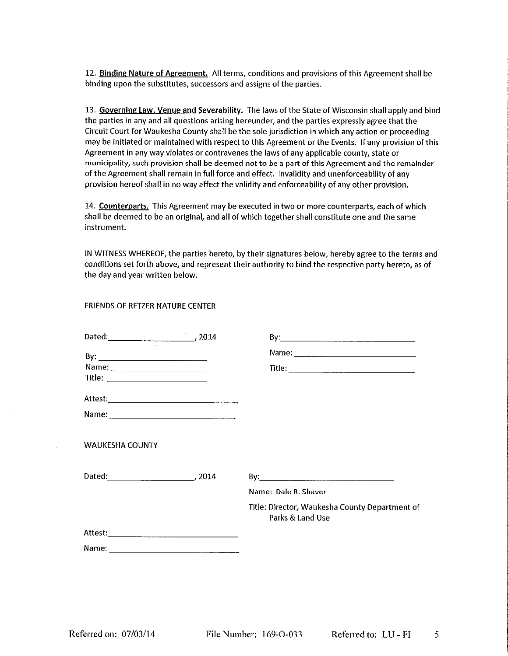12. Binding Nature of Agreement. All terms, conditions and provisions of this Agreement shall be binding upon the substitutes, successors and assigns of the parties.

13. Governing Law, Venue and Severability. The laws of the State of Wisconsin shall apply and bind the parties in any and all questions arising hereunder, and the parties expressly agree that the Circuit Court for Waukesha County shall be the sole jurisdiction in which any action or proceeding may be initiated or maintained with respect to this Agreement or the Events. If any provision of this Agreement in any way violates or contravenes the laws of any applicable county, state or municipality, such provision shall be deemed not to be a part of this Agreement and the remainder of the Agreement shall remain in full force and effect. Invalidity and unenforceability of any provision hereof shall in no way affect the validity and enforceability of any other provision.

14. Counterparts. This Agreement may be executed in two or more counterparts, each of which shall be deemed to be an original, and all of which together shall constitute one and the same instrument.

IN WITNESS WHEREOF, the parties hereto, by their signatures below, hereby agree to the terms and conditions set forth above, and represent their authority to bind the respective party hereto, as of the day and year written below.

#### FRIENDS OF RETZER NATURE CENTER

| <b>WAUKESHA COUNTY</b> |                                                                    |
|------------------------|--------------------------------------------------------------------|
| Dated: 2014            |                                                                    |
|                        | Name: Dale R. Shaver                                               |
|                        | Title: Director, Waukesha County Department of<br>Parks & Land Use |
|                        |                                                                    |
|                        |                                                                    |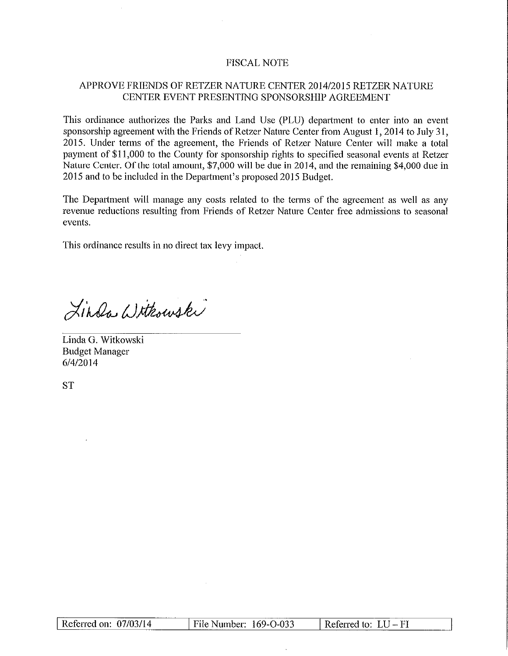## **FISCAL NOTE**

## APPROVE FRIENDS OF RETZER NATURE CENTER 2014/2015 RETZER NATURE CENTER EVENT PRESENTING SPONSORSHIP AGREEMENT

This ordinance authorizes the Parks and Land Use (PLU) department to enter into an event sponsorship agreement with the Friends of Retzer Nature Center from August 1, 2014 to July 31, 2015. Under terms of the agreement, the Friends of Retzer Nature Center will make a total payment of \$11,000 to the County for sponsorship rights to specified seasonal events at Retzer Nature Center. Of the total amount, \$7,000 will be due in 2014, and the remaining \$4,000 due in 2015 and to be included in the Department's proposed 2015 Budget.

The Department will manage any costs related to the terms of the agreement as well as any revenue reductions resulting from Friends of Retzer Nature Center free admissions to seasonal events.

This ordinance results in no direct tax levy impact.

Linda Withowski

Linda G. Witkowski **Budget Manager** 6/4/2014

**ST** 

| Referred on: $07/03/14$ | File Number: 169-O-033 | $\parallel$ Referred to: $LU$ – FI |
|-------------------------|------------------------|------------------------------------|
|                         |                        |                                    |